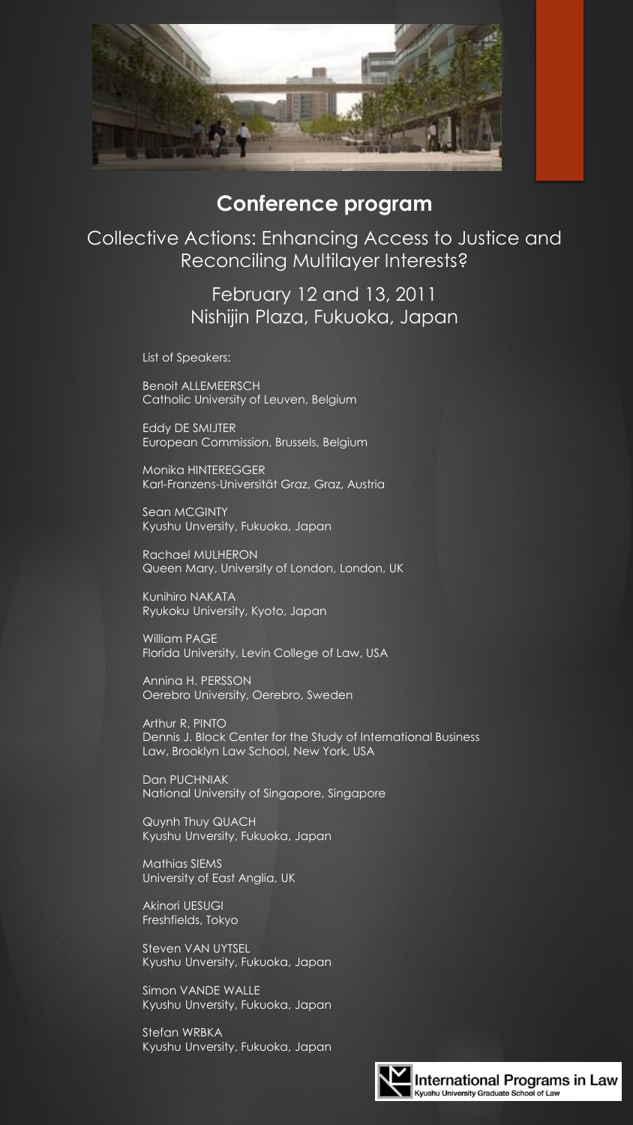

## **Conference program**

Collective Actions: Enhancing Access to Justice and Reconciling Multilayer Interests?

> February 12 and 13, 2011 Nishijin Plaza, Fukuoka, Japan

List of Speakers:

Benoit ALLEMEERSCH Catholic University of Leuven, Belgium

Eddy DE SMIJTER European Commission, Brussels, Belgium

Monika HINTEREGGER Karl-Franzens-Universität Graz, Graz, Austria

Sean MCGINTY Kyushu Unversity, Fukuoka, Japan

Rachael MULHERON Queen Mary, University of London, London, UK

Kunihiro NAKATA Ryukoku University, Kyoto, Japan

William PAGE Florida University, Levin College of Law, USA

Annina H. PERSSON Oerebro University, Oerebro, Sweden

Arthur R. PINTO Dennis J. Block Center for the Study of International Business Law, Brooklyn Law School, New York, USA

Dan PUCHNIAK National University of Singapore, Singapore

Quynh Thuy QUACH Kyushu Unversity, Fukuoka, Japan

Mathias SIEMS University of East Anglia, UK

Akinori UESUGI Freshfields, Tokyo

Steven VAN UYTSEL Kyushu Unversity, Fukuoka, Japan

Simon VANDE WALLE Kyushu Unversity, Fukuoka, Japan

Stefan WRBKA Kyushu Unversity, Fukuoka, Japan